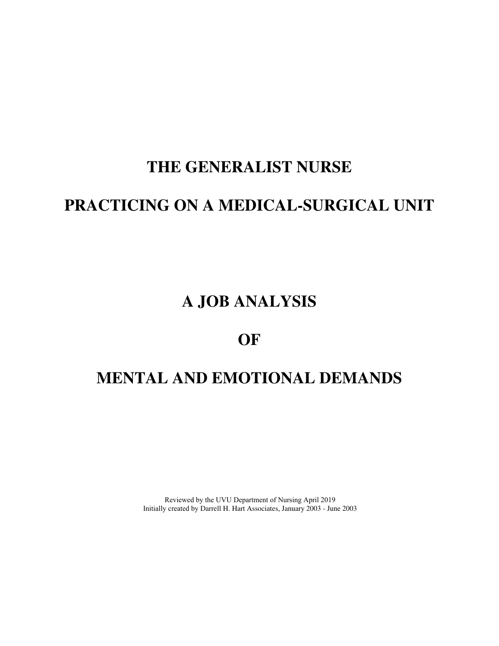# **THE GENERALIST NURSE**

# **PRACTICING ON A MEDICAL-SURGICAL UNIT**

# **A JOB ANALYSIS**

# **OF**

# **MENTAL AND EMOTIONAL DEMANDS**

Reviewed by the UVU Department of Nursing April 2019 Initially created by Darrell H. Hart Associates, January 2003 - June 2003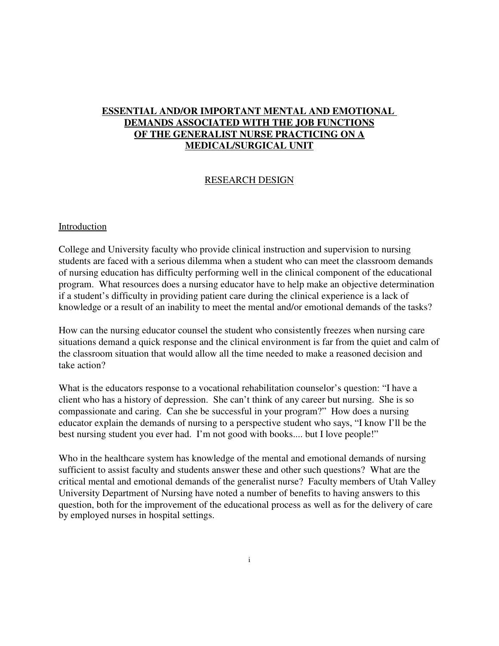# **ESSENTIAL AND/OR IMPORTANT MENTAL AND EMOTIONAL DEMANDS ASSOCIATED WITH THE JOB FUNCTIONS OF THE GENERALIST NURSE PRACTICING ON A MEDICAL/SURGICAL UNIT**

#### RESEARCH DESIGN

#### Introduction

College and University faculty who provide clinical instruction and supervision to nursing students are faced with a serious dilemma when a student who can meet the classroom demands of nursing education has difficulty performing well in the clinical component of the educational program. What resources does a nursing educator have to help make an objective determination if a student's difficulty in providing patient care during the clinical experience is a lack of knowledge or a result of an inability to meet the mental and/or emotional demands of the tasks?

How can the nursing educator counsel the student who consistently freezes when nursing care situations demand a quick response and the clinical environment is far from the quiet and calm of the classroom situation that would allow all the time needed to make a reasoned decision and take action?

What is the educators response to a vocational rehabilitation counselor's question: "I have a client who has a history of depression. She can't think of any career but nursing. She is so compassionate and caring. Can she be successful in your program?" How does a nursing educator explain the demands of nursing to a perspective student who says, "I know I'll be the best nursing student you ever had. I'm not good with books.... but I love people!"

Who in the healthcare system has knowledge of the mental and emotional demands of nursing sufficient to assist faculty and students answer these and other such questions? What are the critical mental and emotional demands of the generalist nurse? Faculty members of Utah Valley University Department of Nursing have noted a number of benefits to having answers to this question, both for the improvement of the educational process as well as for the delivery of care by employed nurses in hospital settings.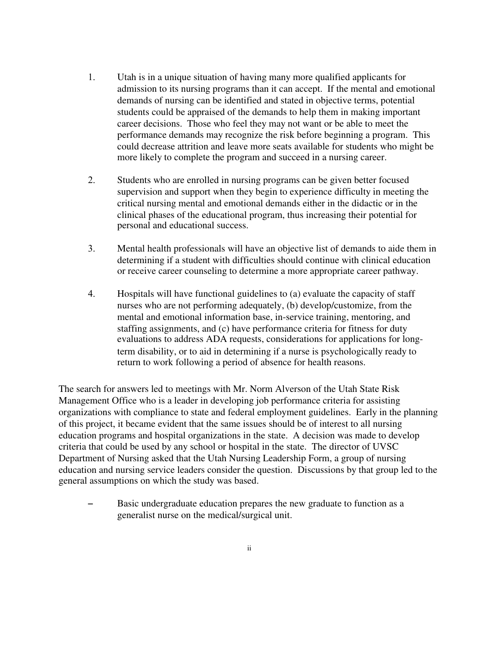- 1. Utah is in a unique situation of having many more qualified applicants for admission to its nursing programs than it can accept. If the mental and emotional demands of nursing can be identified and stated in objective terms, potential students could be appraised of the demands to help them in making important career decisions. Those who feel they may not want or be able to meet the performance demands may recognize the risk before beginning a program. This could decrease attrition and leave more seats available for students who might be more likely to complete the program and succeed in a nursing career.
- 2. Students who are enrolled in nursing programs can be given better focused supervision and support when they begin to experience difficulty in meeting the critical nursing mental and emotional demands either in the didactic or in the clinical phases of the educational program, thus increasing their potential for personal and educational success.
- 3. Mental health professionals will have an objective list of demands to aide them in determining if a student with difficulties should continue with clinical education or receive career counseling to determine a more appropriate career pathway.
- 4. Hospitals will have functional guidelines to (a) evaluate the capacity of staff nurses who are not performing adequately, (b) develop/customize, from the mental and emotional information base, in-service training, mentoring, and staffing assignments, and (c) have performance criteria for fitness for duty evaluations to address ADA requests, considerations for applications for longterm disability, or to aid in determining if a nurse is psychologically ready to return to work following a period of absence for health reasons.

The search for answers led to meetings with Mr. Norm Alverson of the Utah State Risk Management Office who is a leader in developing job performance criteria for assisting organizations with compliance to state and federal employment guidelines. Early in the planning of this project, it became evident that the same issues should be of interest to all nursing education programs and hospital organizations in the state. A decision was made to develop criteria that could be used by any school or hospital in the state. The director of UVSC Department of Nursing asked that the Utah Nursing Leadership Form, a group of nursing education and nursing service leaders consider the question. Discussions by that group led to the general assumptions on which the study was based.

Basic undergraduate education prepares the new graduate to function as a generalist nurse on the medical/surgical unit.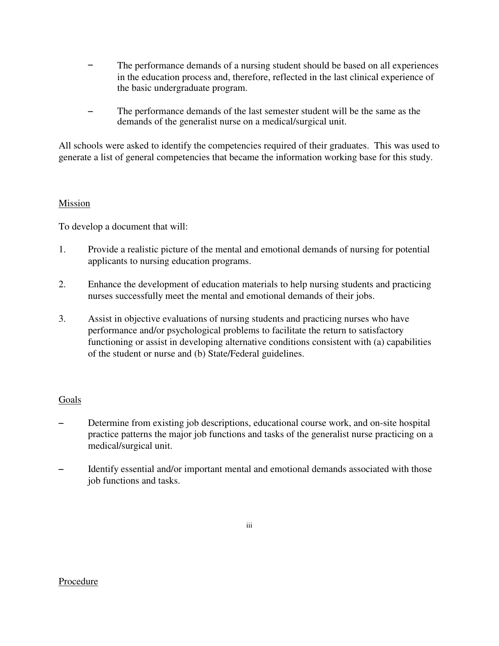- $\overline{a}$ The performance demands of a nursing student should be based on all experiences in the education process and, therefore, reflected in the last clinical experience of the basic undergraduate program.
- $\overline{a}$ The performance demands of the last semester student will be the same as the demands of the generalist nurse on a medical/surgical unit.

All schools were asked to identify the competencies required of their graduates. This was used to generate a list of general competencies that became the information working base for this study.

#### Mission

To develop a document that will:

- 1. Provide a realistic picture of the mental and emotional demands of nursing for potential applicants to nursing education programs.
- 2. Enhance the development of education materials to help nursing students and practicing nurses successfully meet the mental and emotional demands of their jobs.
- 3. Assist in objective evaluations of nursing students and practicing nurses who have performance and/or psychological problems to facilitate the return to satisfactory functioning or assist in developing alternative conditions consistent with (a) capabilities of the student or nurse and (b) State/Federal guidelines.

# Goals

- Determine from existing job descriptions, educational course work, and on-site hospital practice patterns the major job functions and tasks of the generalist nurse practicing on a medical/surgical unit.
- Identify essential and/or important mental and emotional demands associated with those job functions and tasks.

#### Procedure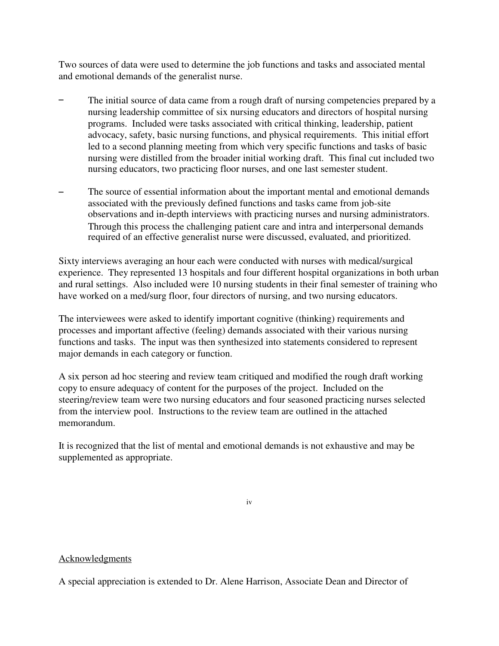Two sources of data were used to determine the job functions and tasks and associated mental and emotional demands of the generalist nurse.

- $\overline{a}$ The initial source of data came from a rough draft of nursing competencies prepared by a nursing leadership committee of six nursing educators and directors of hospital nursing programs. Included were tasks associated with critical thinking, leadership, patient advocacy, safety, basic nursing functions, and physical requirements. This initial effort led to a second planning meeting from which very specific functions and tasks of basic nursing were distilled from the broader initial working draft. This final cut included two nursing educators, two practicing floor nurses, and one last semester student.
- $\overline{a}$ The source of essential information about the important mental and emotional demands associated with the previously defined functions and tasks came from job-site observations and in-depth interviews with practicing nurses and nursing administrators. Through this process the challenging patient care and intra and interpersonal demands required of an effective generalist nurse were discussed, evaluated, and prioritized.

Sixty interviews averaging an hour each were conducted with nurses with medical/surgical experience. They represented 13 hospitals and four different hospital organizations in both urban and rural settings. Also included were 10 nursing students in their final semester of training who have worked on a med/surg floor, four directors of nursing, and two nursing educators.

The interviewees were asked to identify important cognitive (thinking) requirements and processes and important affective (feeling) demands associated with their various nursing functions and tasks. The input was then synthesized into statements considered to represent major demands in each category or function.

A six person ad hoc steering and review team critiqued and modified the rough draft working copy to ensure adequacy of content for the purposes of the project. Included on the steering/review team were two nursing educators and four seasoned practicing nurses selected from the interview pool. Instructions to the review team are outlined in the attached memorandum.

It is recognized that the list of mental and emotional demands is not exhaustive and may be supplemented as appropriate.

iv

# Acknowledgments

A special appreciation is extended to Dr. Alene Harrison, Associate Dean and Director of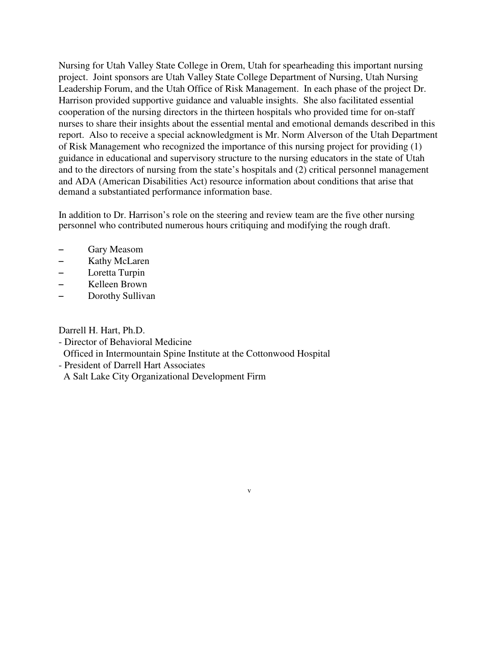Nursing for Utah Valley State College in Orem, Utah for spearheading this important nursing project. Joint sponsors are Utah Valley State College Department of Nursing, Utah Nursing Leadership Forum, and the Utah Office of Risk Management. In each phase of the project Dr. Harrison provided supportive guidance and valuable insights. She also facilitated essential cooperation of the nursing directors in the thirteen hospitals who provided time for on-staff nurses to share their insights about the essential mental and emotional demands described in this report. Also to receive a special acknowledgment is Mr. Norm Alverson of the Utah Department of Risk Management who recognized the importance of this nursing project for providing (1) guidance in educational and supervisory structure to the nursing educators in the state of Utah and to the directors of nursing from the state's hospitals and (2) critical personnel management and ADA (American Disabilities Act) resource information about conditions that arise that demand a substantiated performance information base.

In addition to Dr. Harrison's role on the steering and review team are the five other nursing personnel who contributed numerous hours critiquing and modifying the rough draft.

v

- Gary Measom
- Kathy McLaren
- $-$  Loretta Turpin
- Kelleen Brown
- Dorothy Sullivan

Darrell H. Hart, Ph.D.

- Director of Behavioral Medicine

Officed in Intermountain Spine Institute at the Cottonwood Hospital

- President of Darrell Hart Associates

A Salt Lake City Organizational Development Firm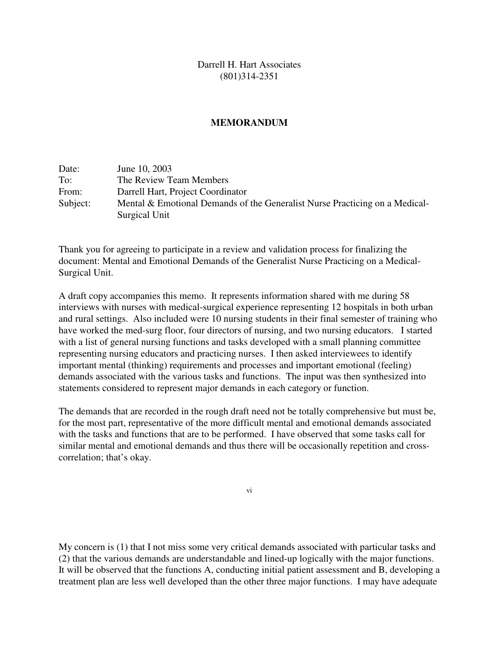Darrell H. Hart Associates (801)314-2351

#### **MEMORANDUM**

| Date:    | June 10, 2003                                                               |
|----------|-----------------------------------------------------------------------------|
| To:      | The Review Team Members                                                     |
| From:    | Darrell Hart, Project Coordinator                                           |
| Subject: | Mental & Emotional Demands of the Generalist Nurse Practicing on a Medical- |
|          | Surgical Unit                                                               |

Thank you for agreeing to participate in a review and validation process for finalizing the document: Mental and Emotional Demands of the Generalist Nurse Practicing on a Medical-Surgical Unit.

A draft copy accompanies this memo. It represents information shared with me during 58 interviews with nurses with medical-surgical experience representing 12 hospitals in both urban and rural settings. Also included were 10 nursing students in their final semester of training who have worked the med-surg floor, four directors of nursing, and two nursing educators. I started with a list of general nursing functions and tasks developed with a small planning committee representing nursing educators and practicing nurses. I then asked interviewees to identify important mental (thinking) requirements and processes and important emotional (feeling) demands associated with the various tasks and functions. The input was then synthesized into statements considered to represent major demands in each category or function.

The demands that are recorded in the rough draft need not be totally comprehensive but must be, for the most part, representative of the more difficult mental and emotional demands associated with the tasks and functions that are to be performed. I have observed that some tasks call for similar mental and emotional demands and thus there will be occasionally repetition and crosscorrelation; that's okay.

vi

My concern is (1) that I not miss some very critical demands associated with particular tasks and (2) that the various demands are understandable and lined-up logically with the major functions. It will be observed that the functions A, conducting initial patient assessment and B, developing a treatment plan are less well developed than the other three major functions. I may have adequate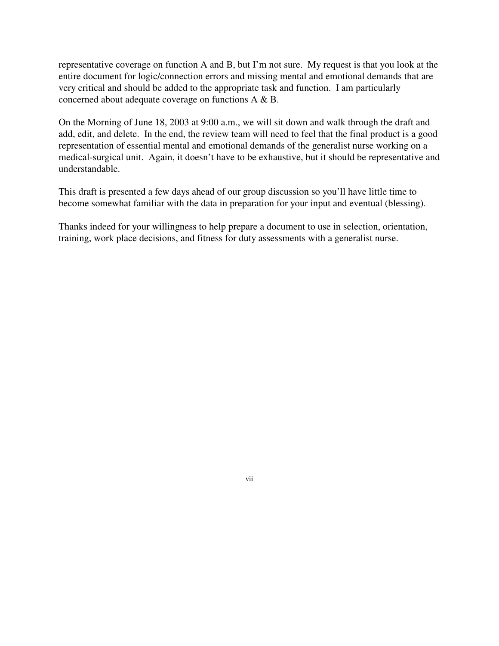representative coverage on function A and B, but I'm not sure. My request is that you look at the entire document for logic/connection errors and missing mental and emotional demands that are very critical and should be added to the appropriate task and function. I am particularly concerned about adequate coverage on functions A & B.

On the Morning of June 18, 2003 at 9:00 a.m., we will sit down and walk through the draft and add, edit, and delete. In the end, the review team will need to feel that the final product is a good representation of essential mental and emotional demands of the generalist nurse working on a medical-surgical unit. Again, it doesn't have to be exhaustive, but it should be representative and understandable.

This draft is presented a few days ahead of our group discussion so you'll have little time to become somewhat familiar with the data in preparation for your input and eventual (blessing).

Thanks indeed for your willingness to help prepare a document to use in selection, orientation, training, work place decisions, and fitness for duty assessments with a generalist nurse.

vii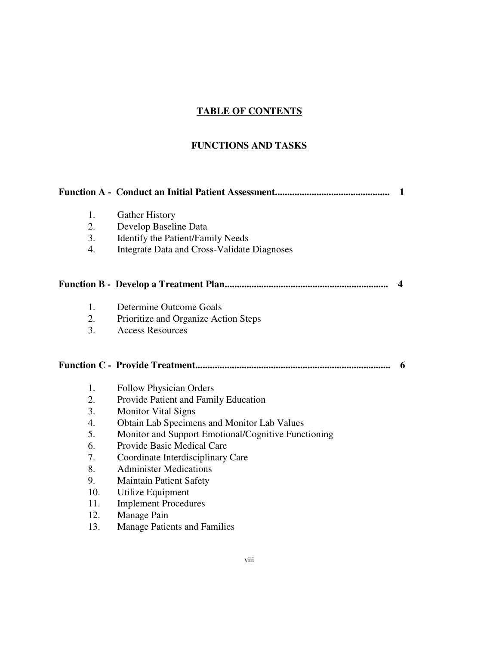# **TABLE OF CONTENTS**

# **FUNCTIONS AND TASKS**

|                  |                                                     | 1 |
|------------------|-----------------------------------------------------|---|
| 1.               | <b>Gather History</b>                               |   |
| 2.               | Develop Baseline Data                               |   |
| 3.               | Identify the Patient/Family Needs                   |   |
| $\overline{4}$ . | <b>Integrate Data and Cross-Validate Diagnoses</b>  |   |
|                  |                                                     | 4 |
| 1.               | Determine Outcome Goals                             |   |
| 2.               | Prioritize and Organize Action Steps                |   |
| 3.               | <b>Access Resources</b>                             |   |
|                  |                                                     | 6 |
| 1.               | <b>Follow Physician Orders</b>                      |   |
| 2.               | Provide Patient and Family Education                |   |
| 3.               | <b>Monitor Vital Signs</b>                          |   |
| $\overline{4}$ . | Obtain Lab Specimens and Monitor Lab Values         |   |
| 5.               | Monitor and Support Emotional/Cognitive Functioning |   |
| 6.               | Provide Basic Medical Care                          |   |
| 7.               | Coordinate Interdisciplinary Care                   |   |
| 8.               | <b>Administer Medications</b>                       |   |
| 9.               | <b>Maintain Patient Safety</b>                      |   |
| 10.              | Utilize Equipment                                   |   |
| 11.              | <b>Implement Procedures</b>                         |   |
| 12.              | Manage Pain                                         |   |
| 13.              | <b>Manage Patients and Families</b>                 |   |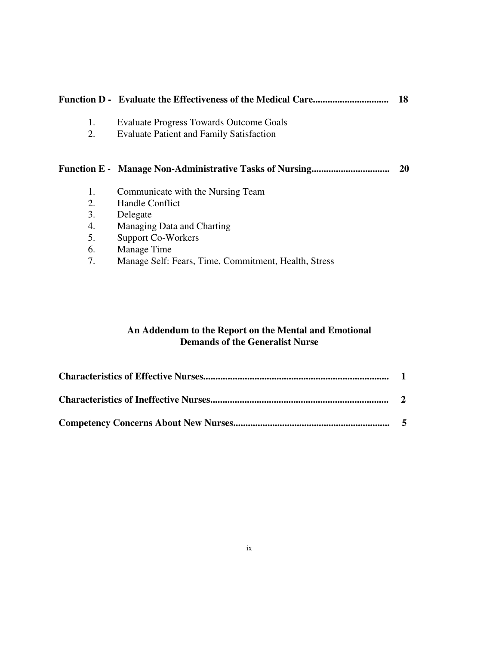|    |                                                                | 18 |
|----|----------------------------------------------------------------|----|
| 1. | Evaluate Progress Towards Outcome Goals                        |    |
| 2. | <b>Evaluate Patient and Family Satisfaction</b>                |    |
|    |                                                                |    |
|    | <b>Function E - Manage Non-Administrative Tasks of Nursing</b> | 20 |
| 1. | Communicate with the Nursing Team                              |    |
| 2. | Handle Conflict                                                |    |
| 3. | Delegate                                                       |    |
| 4. | Managing Data and Charting                                     |    |
| 5. | Support Co-Workers                                             |    |
| 6. | Manage Time                                                    |    |

7. Manage Self: Fears, Time, Commitment, Health, Stress

# **An Addendum to the Report on the Mental and Emotional Demands of the Generalist Nurse**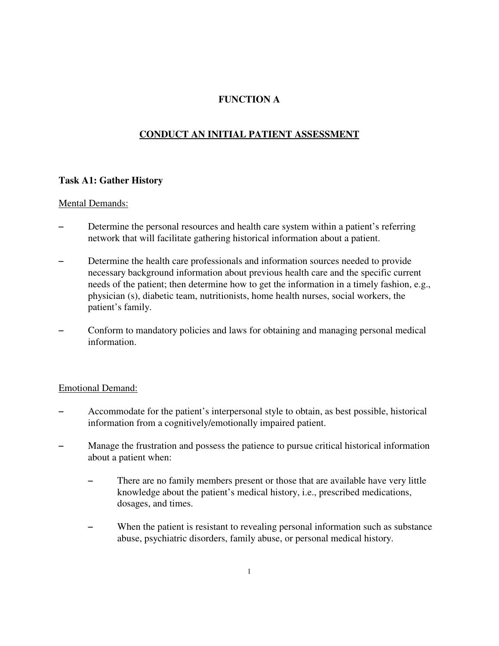# **FUNCTION A**

# **CONDUCT AN INITIAL PATIENT ASSESSMENT**

#### **Task A1: Gather History**

#### Mental Demands:

- Determine the personal resources and health care system within a patient's referring network that will facilitate gathering historical information about a patient.
- Determine the health care professionals and information sources needed to provide necessary background information about previous health care and the specific current needs of the patient; then determine how to get the information in a timely fashion, e.g., physician (s), diabetic team, nutritionists, home health nurses, social workers, the patient's family.
- Conform to mandatory policies and laws for obtaining and managing personal medical information.

- Accommodate for the patient's interpersonal style to obtain, as best possible, historical information from a cognitively/emotionally impaired patient.
- Manage the frustration and possess the patience to pursue critical historical information about a patient when:
	- There are no family members present or those that are available have very little knowledge about the patient's medical history, i.e., prescribed medications, dosages, and times.
	- When the patient is resistant to revealing personal information such as substance abuse, psychiatric disorders, family abuse, or personal medical history.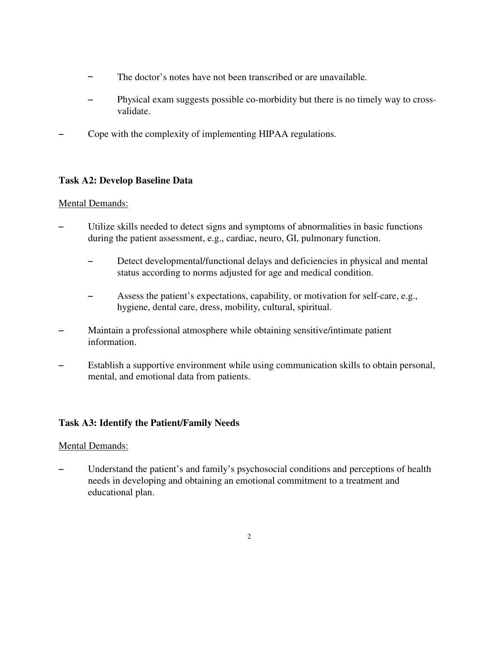- $\overline{\phantom{0}}$ The doctor's notes have not been transcribed or are unavailable.
- $\overline{a}$ Physical exam suggests possible co-morbidity but there is no timely way to crossvalidate.
- Cope with the complexity of implementing HIPAA regulations.

# **Task A2: Develop Baseline Data**

# Mental Demands:

- Utilize skills needed to detect signs and symptoms of abnormalities in basic functions during the patient assessment, e.g., cardiac, neuro, GI, pulmonary function.
	- Detect developmental/functional delays and deficiencies in physical and mental status according to norms adjusted for age and medical condition.
	- Assess the patient's expectations, capability, or motivation for self-care, e.g., hygiene, dental care, dress, mobility, cultural, spiritual.
- Maintain a professional atmosphere while obtaining sensitive/intimate patient information.
- Establish a supportive environment while using communication skills to obtain personal, mental, and emotional data from patients.

# **Task A3: Identify the Patient/Family Needs**

# Mental Demands:

Understand the patient's and family's psychosocial conditions and perceptions of health needs in developing and obtaining an emotional commitment to a treatment and educational plan.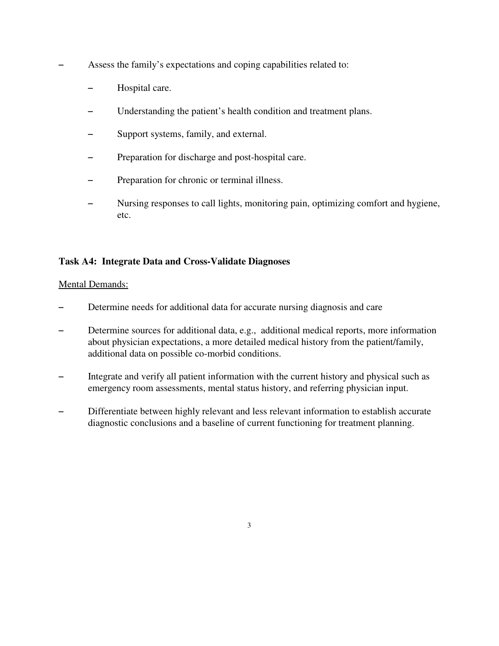- Assess the family's expectations and coping capabilities related to:
	- Hospital care.
	- Understanding the patient's health condition and treatment plans.
	- Support systems, family, and external.
	- Preparation for discharge and post-hospital care.
	- Preparation for chronic or terminal illness.
	- Nursing responses to call lights, monitoring pain, optimizing comfort and hygiene, etc.

# **Task A4: Integrate Data and Cross-Validate Diagnoses**

- Determine needs for additional data for accurate nursing diagnosis and care
- Determine sources for additional data, e.g., additional medical reports, more information about physician expectations, a more detailed medical history from the patient/family, additional data on possible co-morbid conditions.
- Integrate and verify all patient information with the current history and physical such as emergency room assessments, mental status history, and referring physician input.
- Differentiate between highly relevant and less relevant information to establish accurate diagnostic conclusions and a baseline of current functioning for treatment planning.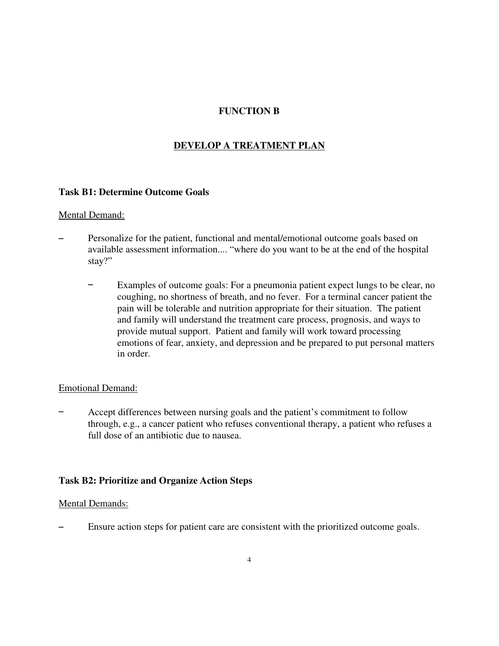# **FUNCTION B**

# **DEVELOP A TREATMENT PLAN**

#### **Task B1: Determine Outcome Goals**

#### Mental Demand:

- Personalize for the patient, functional and mental/emotional outcome goals based on available assessment information.... "where do you want to be at the end of the hospital stay?"
	- Examples of outcome goals: For a pneumonia patient expect lungs to be clear, no coughing, no shortness of breath, and no fever. For a terminal cancer patient the pain will be tolerable and nutrition appropriate for their situation. The patient and family will understand the treatment care process, prognosis, and ways to provide mutual support. Patient and family will work toward processing emotions of fear, anxiety, and depression and be prepared to put personal matters in order.

#### Emotional Demand:

Accept differences between nursing goals and the patient's commitment to follow through, e.g., a cancer patient who refuses conventional therapy, a patient who refuses a full dose of an antibiotic due to nausea.

#### **Task B2: Prioritize and Organize Action Steps**

#### Mental Demands:

Ensure action steps for patient care are consistent with the prioritized outcome goals.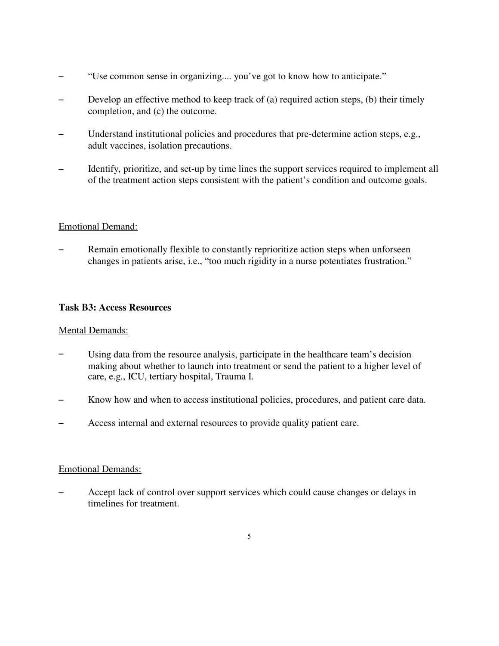- "Use common sense in organizing.... you've got to know how to anticipate."
- Develop an effective method to keep track of (a) required action steps, (b) their timely completion, and (c) the outcome.
- Understand institutional policies and procedures that pre-determine action steps, e.g., adult vaccines, isolation precautions.
- Identify, prioritize, and set-up by time lines the support services required to implement all of the treatment action steps consistent with the patient's condition and outcome goals.

# Emotional Demand:

Remain emotionally flexible to constantly reprioritize action steps when unforseen changes in patients arise, i.e., "too much rigidity in a nurse potentiates frustration."

#### **Task B3: Access Resources**

#### Mental Demands:

- $\overline{a}$ Using data from the resource analysis, participate in the healthcare team's decision making about whether to launch into treatment or send the patient to a higher level of care, e.g., ICU, tertiary hospital, Trauma I.
- $\overline{a}$ Know how and when to access institutional policies, procedures, and patient care data.
- $\overline{a}$ Access internal and external resources to provide quality patient care.

#### Emotional Demands:

Accept lack of control over support services which could cause changes or delays in timelines for treatment.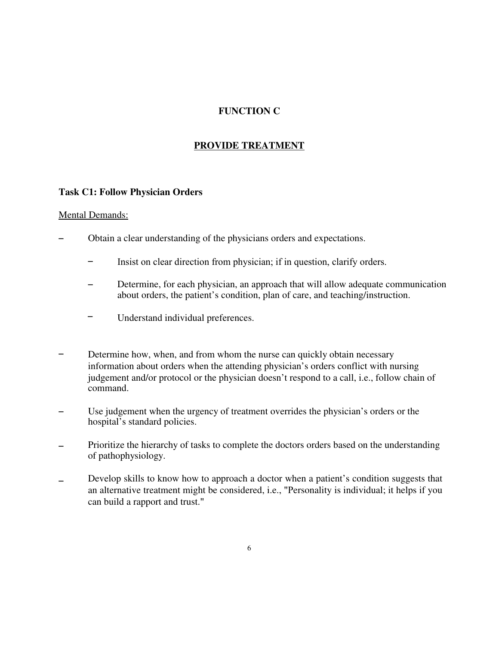# **FUNCTION C**

## **PROVIDE TREATMENT**

#### **Task C1: Follow Physician Orders**

- Obtain a clear understanding of the physicians orders and expectations.
	- $\equiv$ Insist on clear direction from physician; if in question, clarify orders.
	- $\overline{a}$ Determine, for each physician, an approach that will allow adequate communication about orders, the patient's condition, plan of care, and teaching/instruction.
	- $\overline{\phantom{0}}$ Understand individual preferences.
- $\overline{a}$ Determine how, when, and from whom the nurse can quickly obtain necessary information about orders when the attending physician's orders conflict with nursing judgement and/or protocol or the physician doesn't respond to a call, i.e., follow chain of command.
- $\overline{a}$ Use judgement when the urgency of treatment overrides the physician's orders or the hospital's standard policies.
- $\overline{a}$ Prioritize the hierarchy of tasks to complete the doctors orders based on the understanding of pathophysiology.
- $\overline{a}$ Develop skills to know how to approach a doctor when a patient's condition suggests that an alternative treatment might be considered, i.e., "Personality is individual; it helps if you can build a rapport and trust."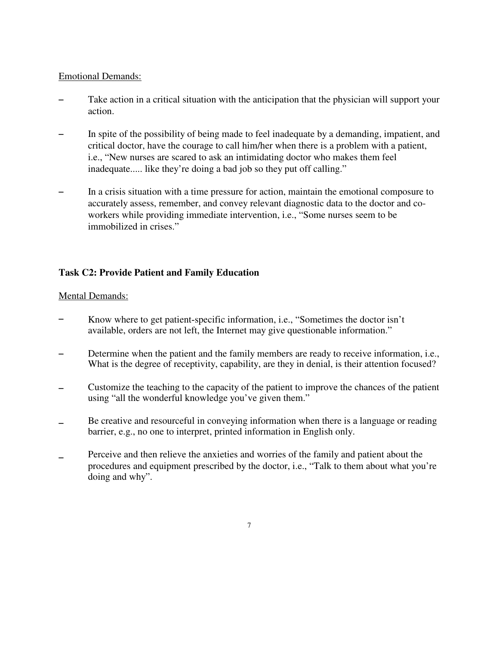#### Emotional Demands:

- Take action in a critical situation with the anticipation that the physician will support your action.
- In spite of the possibility of being made to feel inadequate by a demanding, impatient, and critical doctor, have the courage to call him/her when there is a problem with a patient, i.e., "New nurses are scared to ask an intimidating doctor who makes them feel inadequate..... like they're doing a bad job so they put off calling."
- In a crisis situation with a time pressure for action, maintain the emotional composure to accurately assess, remember, and convey relevant diagnostic data to the doctor and coworkers while providing immediate intervention, i.e., "Some nurses seem to be immobilized in crises."

# **Task C2: Provide Patient and Family Education**

- $\overline{a}$ Know where to get patient-specific information, i.e., "Sometimes the doctor isn't available, orders are not left, the Internet may give questionable information."
- $\overline{a}$ Determine when the patient and the family members are ready to receive information, i.e., What is the degree of receptivity, capability, are they in denial, is their attention focused?
- $\overline{a}$ Customize the teaching to the capacity of the patient to improve the chances of the patient using "all the wonderful knowledge you've given them."
- $\overline{a}$ Be creative and resourceful in conveying information when there is a language or reading barrier, e.g., no one to interpret, printed information in English only.
- $\overline{a}$ Perceive and then relieve the anxieties and worries of the family and patient about the procedures and equipment prescribed by the doctor, i.e., "Talk to them about what you're doing and why".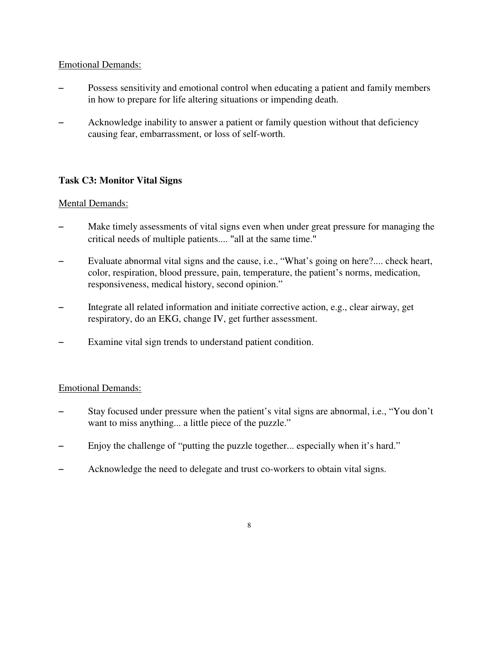## Emotional Demands:

- Possess sensitivity and emotional control when educating a patient and family members in how to prepare for life altering situations or impending death.
- Acknowledge inability to answer a patient or family question without that deficiency causing fear, embarrassment, or loss of self-worth.

# **Task C3: Monitor Vital Signs**

#### Mental Demands:

- Make timely assessments of vital signs even when under great pressure for managing the critical needs of multiple patients.... "all at the same time."
- Evaluate abnormal vital signs and the cause, i.e., "What's going on here?.... check heart, color, respiration, blood pressure, pain, temperature, the patient's norms, medication, responsiveness, medical history, second opinion."
- Integrate all related information and initiate corrective action, e.g., clear airway, get respiratory, do an EKG, change IV, get further assessment.
- Examine vital sign trends to understand patient condition.

- Stay focused under pressure when the patient's vital signs are abnormal, i.e., "You don't want to miss anything... a little piece of the puzzle."
- Enjoy the challenge of "putting the puzzle together... especially when it's hard."
- Acknowledge the need to delegate and trust co-workers to obtain vital signs.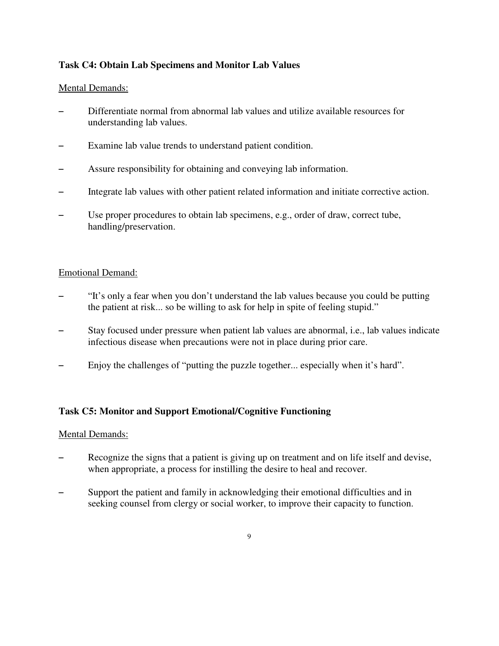# **Task C4: Obtain Lab Specimens and Monitor Lab Values**

# Mental Demands:

- Differentiate normal from abnormal lab values and utilize available resources for understanding lab values.
- Examine lab value trends to understand patient condition.
- Assure responsibility for obtaining and conveying lab information.
- $-$  Integrate lab values with other patient related information and initiate corrective action.
- Use proper procedures to obtain lab specimens, e.g., order of draw, correct tube, handling/preservation.

# Emotional Demand:

- "It's only a fear when you don't understand the lab values because you could be putting the patient at risk... so be willing to ask for help in spite of feeling stupid."
- Stay focused under pressure when patient lab values are abnormal, i.e., lab values indicate infectious disease when precautions were not in place during prior care.
- Enjoy the challenges of "putting the puzzle together... especially when it's hard".

# **Task C5: Monitor and Support Emotional/Cognitive Functioning**

- Recognize the signs that a patient is giving up on treatment and on life itself and devise, when appropriate, a process for instilling the desire to heal and recover.
- S Support the patient and family in acknowledging their emotional difficulties and in seeking counsel from clergy or social worker, to improve their capacity to function.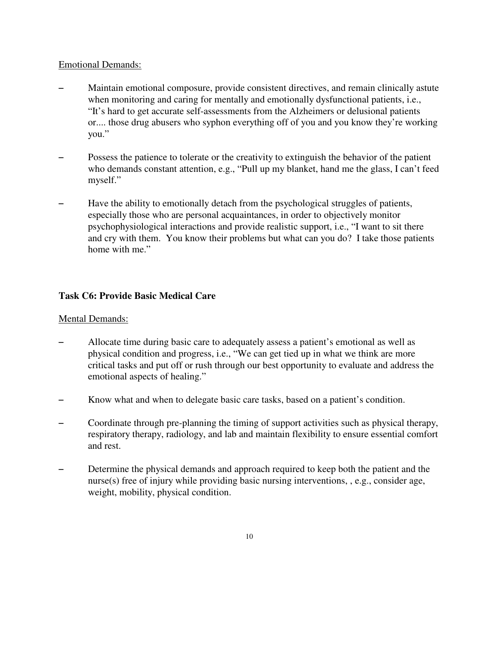#### Emotional Demands:

- Maintain emotional composure, provide consistent directives, and remain clinically astute when monitoring and caring for mentally and emotionally dysfunctional patients, *i.e.*, "It's hard to get accurate self-assessments from the Alzheimers or delusional patients or.... those drug abusers who syphon everything off of you and you know they're working you."
- Possess the patience to tolerate or the creativity to extinguish the behavior of the patient who demands constant attention, e.g., "Pull up my blanket, hand me the glass, I can't feed myself."
- Have the ability to emotionally detach from the psychological struggles of patients, especially those who are personal acquaintances, in order to objectively monitor psychophysiological interactions and provide realistic support, i.e., "I want to sit there and cry with them. You know their problems but what can you do? I take those patients home with me."

# **Task C6: Provide Basic Medical Care**

- Allocate time during basic care to adequately assess a patient's emotional as well as physical condition and progress, i.e., "We can get tied up in what we think are more critical tasks and put off or rush through our best opportunity to evaluate and address the emotional aspects of healing."
- S Know what and when to delegate basic care tasks, based on a patient's condition.
- Coordinate through pre-planning the timing of support activities such as physical therapy, respiratory therapy, radiology, and lab and maintain flexibility to ensure essential comfort and rest.
- Determine the physical demands and approach required to keep both the patient and the nurse(s) free of injury while providing basic nursing interventions, , e.g., consider age, weight, mobility, physical condition.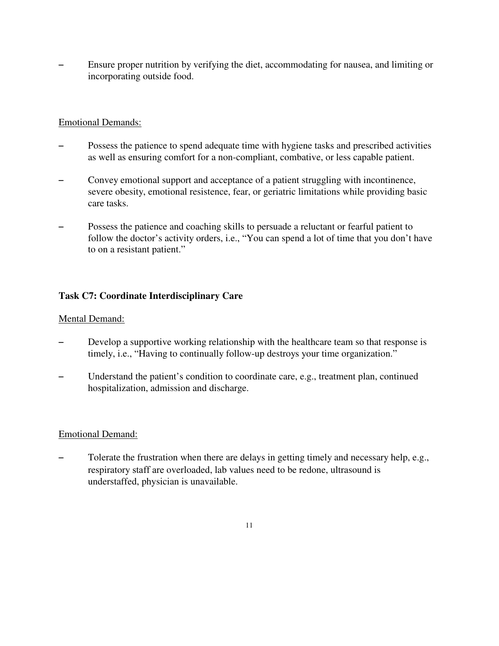Ensure proper nutrition by verifying the diet, accommodating for nausea, and limiting or incorporating outside food.

## Emotional Demands:

- Possess the patience to spend adequate time with hygiene tasks and prescribed activities as well as ensuring comfort for a non-compliant, combative, or less capable patient.
- Convey emotional support and acceptance of a patient struggling with incontinence, severe obesity, emotional resistence, fear, or geriatric limitations while providing basic care tasks.
- Possess the patience and coaching skills to persuade a reluctant or fearful patient to follow the doctor's activity orders, i.e., "You can spend a lot of time that you don't have to on a resistant patient."

# **Task C7: Coordinate Interdisciplinary Care**

#### Mental Demand:

- Develop a supportive working relationship with the healthcare team so that response is timely, i.e., "Having to continually follow-up destroys your time organization."
- Understand the patient's condition to coordinate care, e.g., treatment plan, continued hospitalization, admission and discharge.

#### Emotional Demand:

Tolerate the frustration when there are delays in getting timely and necessary help, e.g., respiratory staff are overloaded, lab values need to be redone, ultrasound is understaffed, physician is unavailable.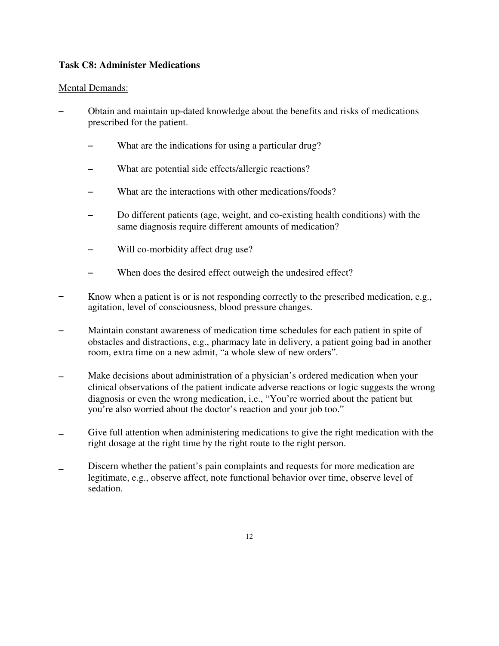#### **Task C8: Administer Medications**

- Obtain and maintain up-dated knowledge about the benefits and risks of medications prescribed for the patient.
	- What are the indications for using a particular drug?
	- What are potential side effects/allergic reactions?
	- What are the interactions with other medications/foods?
	- Do different patients (age, weight, and co-existing health conditions) with the same diagnosis require different amounts of medication?
	- Will co-morbidity affect drug use?
	- When does the desired effect outweigh the undesired effect?
- $\overline{a}$ Know when a patient is or is not responding correctly to the prescribed medication, e.g., agitation, level of consciousness, blood pressure changes.
- $\overline{a}$ Maintain constant awareness of medication time schedules for each patient in spite of obstacles and distractions, e.g., pharmacy late in delivery, a patient going bad in another room, extra time on a new admit, "a whole slew of new orders".
- $\overline{a}$ Make decisions about administration of a physician's ordered medication when your clinical observations of the patient indicate adverse reactions or logic suggests the wrong diagnosis or even the wrong medication, i.e., "You're worried about the patient but you're also worried about the doctor's reaction and your job too."
- $\overline{a}$ Give full attention when administering medications to give the right medication with the right dosage at the right time by the right route to the right person.
- $\overline{a}$ Discern whether the patient's pain complaints and requests for more medication are legitimate, e.g., observe affect, note functional behavior over time, observe level of sedation.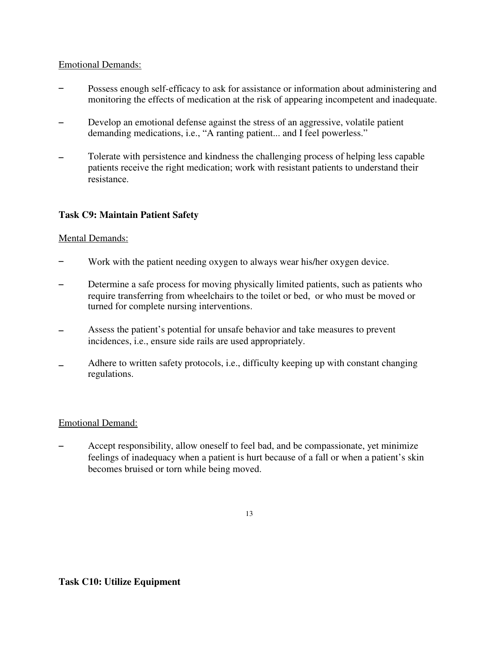## Emotional Demands:

- $\overline{a}$ Possess enough self-efficacy to ask for assistance or information about administering and monitoring the effects of medication at the risk of appearing incompetent and inadequate.
- $\overline{a}$ Develop an emotional defense against the stress of an aggressive, volatile patient demanding medications, i.e., "A ranting patient... and I feel powerless."
- $\overline{a}$ Tolerate with persistence and kindness the challenging process of helping less capable patients receive the right medication; work with resistant patients to understand their resistance.

# **Task C9: Maintain Patient Safety**

# Mental Demands:

- $\overline{a}$ Work with the patient needing oxygen to always wear his/her oxygen device.
- $\overline{a}$ Determine a safe process for moving physically limited patients, such as patients who require transferring from wheelchairs to the toilet or bed, or who must be moved or turned for complete nursing interventions.
- $\overline{a}$ Assess the patient's potential for unsafe behavior and take measures to prevent incidences, i.e., ensure side rails are used appropriately.
- $\overline{a}$ Adhere to written safety protocols, i.e., difficulty keeping up with constant changing regulations.

#### Emotional Demand:

Accept responsibility, allow oneself to feel bad, and be compassionate, yet minimize feelings of inadequacy when a patient is hurt because of a fall or when a patient's skin becomes bruised or torn while being moved.

13

# **Task C10: Utilize Equipment**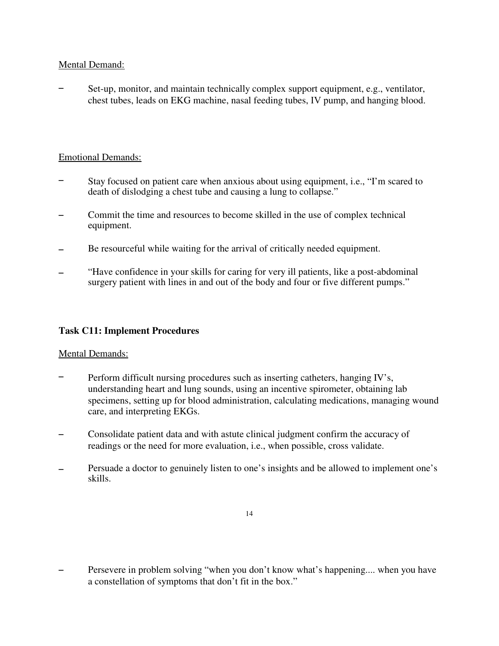## Mental Demand:

Set-up, monitor, and maintain technically complex support equipment, e.g., ventilator, chest tubes, leads on EKG machine, nasal feeding tubes, IV pump, and hanging blood.

## Emotional Demands:

- $\overline{a}$ Stay focused on patient care when anxious about using equipment, i.e., "I'm scared to death of dislodging a chest tube and causing a lung to collapse."
- $\overline{a}$ Commit the time and resources to become skilled in the use of complex technical equipment.
- $\overline{a}$ Be resourceful while waiting for the arrival of critically needed equipment.
- $\overline{a}$ "Have confidence in your skills for caring for very ill patients, like a post-abdominal surgery patient with lines in and out of the body and four or five different pumps."

#### **Task C11: Implement Procedures**

#### Mental Demands:

- $\overline{a}$ Perform difficult nursing procedures such as inserting catheters, hanging IV's, understanding heart and lung sounds, using an incentive spirometer, obtaining lab specimens, setting up for blood administration, calculating medications, managing wound care, and interpreting EKGs.
- $\overline{a}$ Consolidate patient data and with astute clinical judgment confirm the accuracy of readings or the need for more evaluation, i.e., when possible, cross validate.
- $\overline{a}$ Persuade a doctor to genuinely listen to one's insights and be allowed to implement one's skills.

Persevere in problem solving "when you don't know what's happening.... when you have a constellation of symptoms that don't fit in the box."

<sup>14</sup>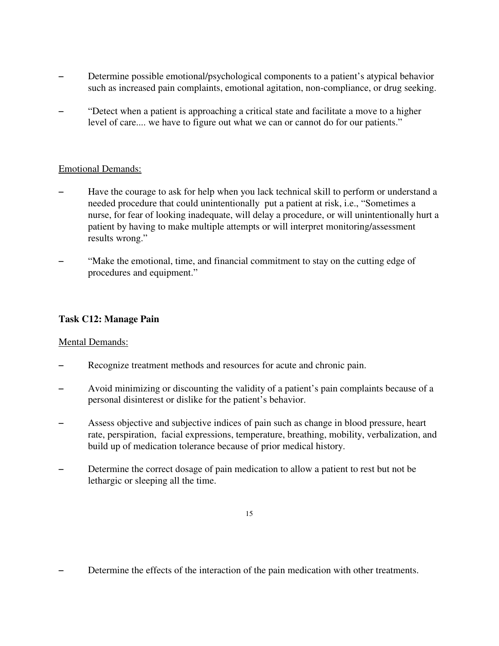- Determine possible emotional/psychological components to a patient's atypical behavior such as increased pain complaints, emotional agitation, non-compliance, or drug seeking.
- "Detect when a patient is approaching a critical state and facilitate a move to a higher level of care.... we have to figure out what we can or cannot do for our patients."

#### Emotional Demands:

- Have the courage to ask for help when you lack technical skill to perform or understand a needed procedure that could unintentionally put a patient at risk, i.e., "Sometimes a nurse, for fear of looking inadequate, will delay a procedure, or will unintentionally hurt a patient by having to make multiple attempts or will interpret monitoring/assessment results wrong."
- "Make the emotional, time, and financial commitment to stay on the cutting edge of procedures and equipment."

## **Task C12: Manage Pain**

- Recognize treatment methods and resources for acute and chronic pain.
- Avoid minimizing or discounting the validity of a patient's pain complaints because of a personal disinterest or dislike for the patient's behavior.
- Assess objective and subjective indices of pain such as change in blood pressure, heart rate, perspiration, facial expressions, temperature, breathing, mobility, verbalization, and build up of medication tolerance because of prior medical history.
- Determine the correct dosage of pain medication to allow a patient to rest but not be lethargic or sleeping all the time.

<sup>15</sup>

Determine the effects of the interaction of the pain medication with other treatments.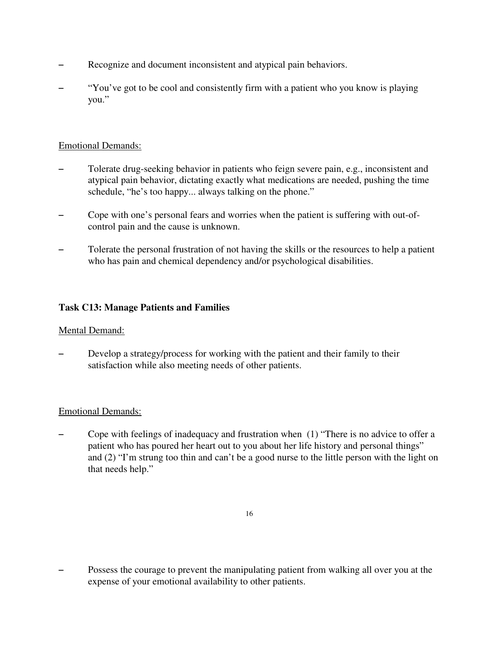- Recognize and document inconsistent and atypical pain behaviors.
- "You've got to be cool and consistently firm with a patient who you know is playing you."

## Emotional Demands:

- Tolerate drug-seeking behavior in patients who feign severe pain, e.g., inconsistent and atypical pain behavior, dictating exactly what medications are needed, pushing the time schedule, "he's too happy... always talking on the phone."
- Cope with one's personal fears and worries when the patient is suffering with out-ofcontrol pain and the cause is unknown.
- Tolerate the personal frustration of not having the skills or the resources to help a patient who has pain and chemical dependency and/or psychological disabilities.

# **Task C13: Manage Patients and Families**

# Mental Demand:

Develop a strategy/process for working with the patient and their family to their satisfaction while also meeting needs of other patients.

# Emotional Demands:

Cope with feelings of inadequacy and frustration when  $(1)$  "There is no advice to offer a patient who has poured her heart out to you about her life history and personal things" and (2) "I'm strung too thin and can't be a good nurse to the little person with the light on that needs help."

<sup>16</sup>

<sup>-</sup> Possess the courage to prevent the manipulating patient from walking all over you at the expense of your emotional availability to other patients.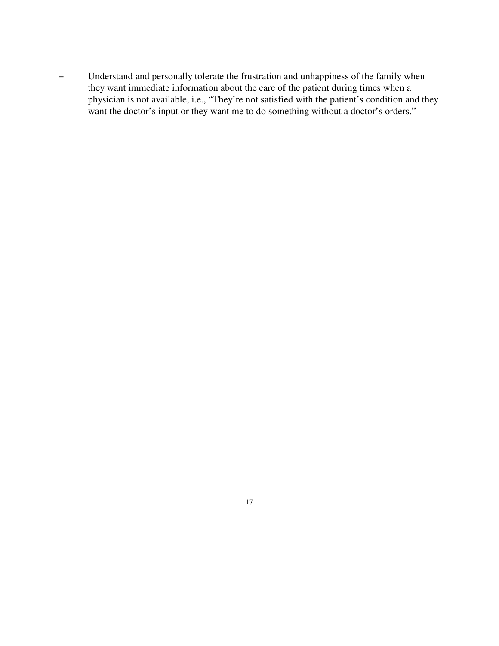- Understand and personally tolerate the frustration and unhappiness of the family when they want immediate information about the care of the patient during times when a physician is not available, i.e., "They're not satisfied with the patient's condition and they want the doctor's input or they want me to do something without a doctor's orders."

17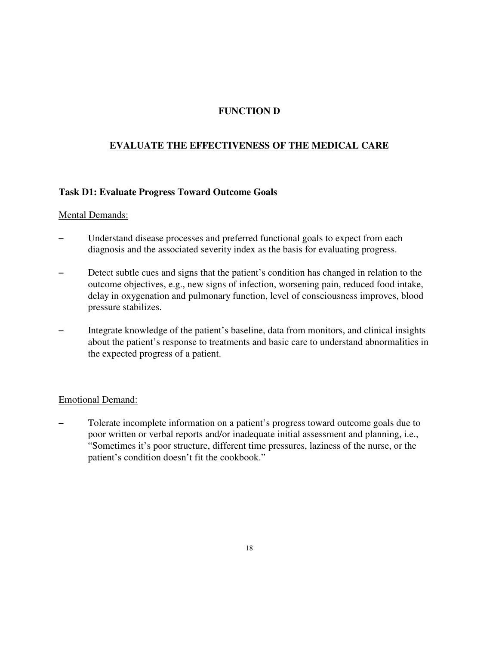# **FUNCTION D**

# **EVALUATE THE EFFECTIVENESS OF THE MEDICAL CARE**

#### **Task D1: Evaluate Progress Toward Outcome Goals**

#### Mental Demands:

- Understand disease processes and preferred functional goals to expect from each diagnosis and the associated severity index as the basis for evaluating progress.
- Detect subtle cues and signs that the patient's condition has changed in relation to the outcome objectives, e.g., new signs of infection, worsening pain, reduced food intake, delay in oxygenation and pulmonary function, level of consciousness improves, blood pressure stabilizes.
- Integrate knowledge of the patient's baseline, data from monitors, and clinical insights about the patient's response to treatments and basic care to understand abnormalities in the expected progress of a patient.

#### Emotional Demand:

Tolerate incomplete information on a patient's progress toward outcome goals due to poor written or verbal reports and/or inadequate initial assessment and planning, i.e., "Sometimes it's poor structure, different time pressures, laziness of the nurse, or the patient's condition doesn't fit the cookbook."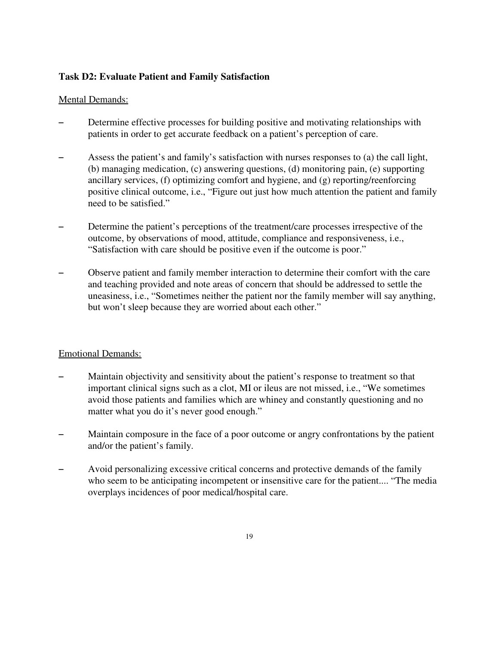# **Task D2: Evaluate Patient and Family Satisfaction**

#### Mental Demands:

- Determine effective processes for building positive and motivating relationships with patients in order to get accurate feedback on a patient's perception of care.
- Assess the patient's and family's satisfaction with nurses responses to (a) the call light, (b) managing medication, (c) answering questions, (d) monitoring pain, (e) supporting ancillary services, (f) optimizing comfort and hygiene, and (g) reporting/reenforcing positive clinical outcome, i.e., "Figure out just how much attention the patient and family need to be satisfied."
- Determine the patient's perceptions of the treatment/care processes irrespective of the outcome, by observations of mood, attitude, compliance and responsiveness, i.e., "Satisfaction with care should be positive even if the outcome is poor."
- Observe patient and family member interaction to determine their comfort with the care and teaching provided and note areas of concern that should be addressed to settle the uneasiness, i.e., "Sometimes neither the patient nor the family member will say anything, but won't sleep because they are worried about each other."

- Maintain objectivity and sensitivity about the patient's response to treatment so that important clinical signs such as a clot, MI or ileus are not missed, i.e., "We sometimes avoid those patients and families which are whiney and constantly questioning and no matter what you do it's never good enough."
- Maintain composure in the face of a poor outcome or angry confrontations by the patient and/or the patient's family.
- Avoid personalizing excessive critical concerns and protective demands of the family who seem to be anticipating incompetent or insensitive care for the patient.... "The media overplays incidences of poor medical/hospital care.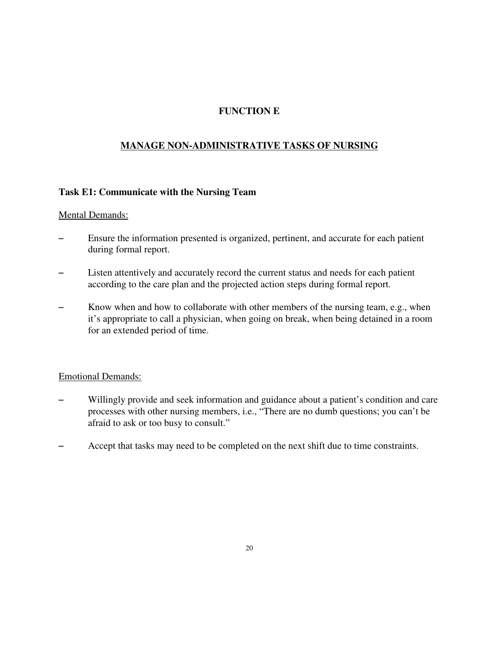# **FUNCTION E**

# **MANAGE NON-ADMINISTRATIVE TASKS OF NURSING**

#### **Task E1: Communicate with the Nursing Team**

#### Mental Demands:

- Ensure the information presented is organized, pertinent, and accurate for each patient during formal report.
- Listen attentively and accurately record the current status and needs for each patient according to the care plan and the projected action steps during formal report.
- $S =$  Know when and how to collaborate with other members of the nursing team, e.g., when it's appropriate to call a physician, when going on break, when being detained in a room for an extended period of time.

- Willingly provide and seek information and guidance about a patient's condition and care processes with other nursing members, i.e., "There are no dumb questions; you can't be afraid to ask or too busy to consult."
- Accept that tasks may need to be completed on the next shift due to time constraints.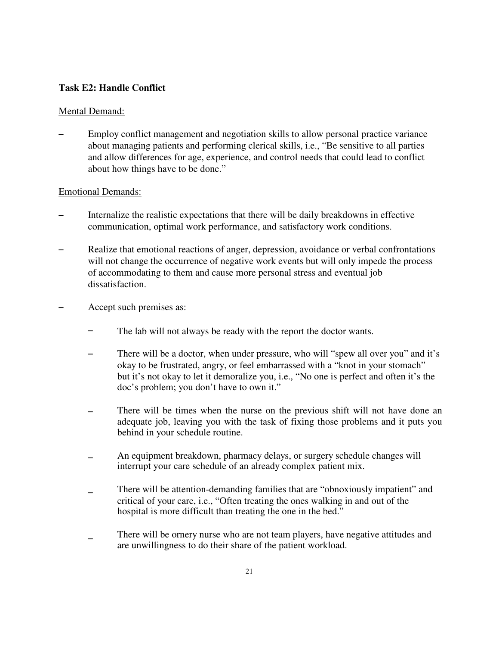#### **Task E2: Handle Conflict**

#### Mental Demand:

Employ conflict management and negotiation skills to allow personal practice variance about managing patients and performing clerical skills, i.e., "Be sensitive to all parties and allow differences for age, experience, and control needs that could lead to conflict about how things have to be done."

- Internalize the realistic expectations that there will be daily breakdowns in effective communication, optimal work performance, and satisfactory work conditions.
- Realize that emotional reactions of anger, depression, avoidance or verbal confrontations will not change the occurrence of negative work events but will only impede the process of accommodating to them and cause more personal stress and eventual job dissatisfaction.
- Accept such premises as:
	- $\overline{a}$ The lab will not always be ready with the report the doctor wants.
	- $\overline{a}$ There will be a doctor, when under pressure, who will "spew all over you" and it's okay to be frustrated, angry, or feel embarrassed with a "knot in your stomach" but it's not okay to let it demoralize you, i.e., "No one is perfect and often it's the doc's problem; you don't have to own it."
	- $\overline{a}$ There will be times when the nurse on the previous shift will not have done an adequate job, leaving you with the task of fixing those problems and it puts you behind in your schedule routine.
	- $\overline{a}$ An equipment breakdown, pharmacy delays, or surgery schedule changes will interrupt your care schedule of an already complex patient mix.
	- $\overline{a}$ There will be attention-demanding families that are "obnoxiously impatient" and critical of your care, i.e., "Often treating the ones walking in and out of the hospital is more difficult than treating the one in the bed."
	- $\overline{a}$ There will be ornery nurse who are not team players, have negative attitudes and are unwillingness to do their share of the patient workload.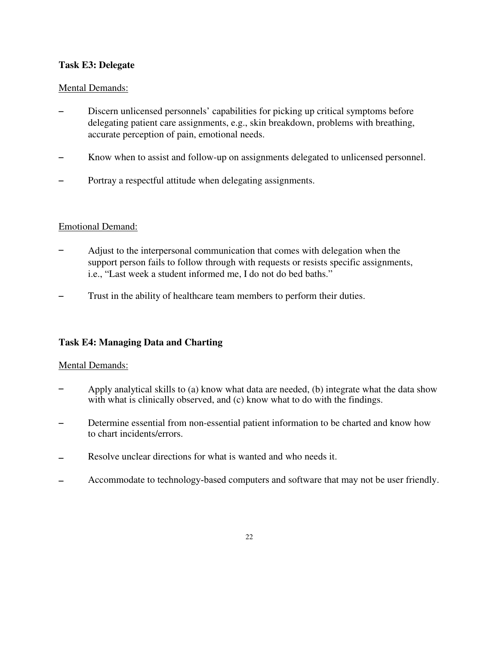## **Task E3: Delegate**

#### Mental Demands:

- Discern unlicensed personnels' capabilities for picking up critical symptoms before delegating patient care assignments, e.g., skin breakdown, problems with breathing, accurate perception of pain, emotional needs.
- S Know when to assist and follow-up on assignments delegated to unlicensed personnel.
- Portray a respectful attitude when delegating assignments.

#### Emotional Demand:

- $\overline{a}$ Adjust to the interpersonal communication that comes with delegation when the support person fails to follow through with requests or resists specific assignments, i.e., "Last week a student informed me, I do not do bed baths."
- $\overline{a}$ Trust in the ability of healthcare team members to perform their duties.

#### **Task E4: Managing Data and Charting**

- $\overline{a}$ Apply analytical skills to (a) know what data are needed, (b) integrate what the data show with what is clinically observed, and (c) know what to do with the findings.
- $\overline{a}$ Determine essential from non-essential patient information to be charted and know how to chart incidents/errors.
- $\overline{a}$ Resolve unclear directions for what is wanted and who needs it.
- $\equiv$ Accommodate to technology-based computers and software that may not be user friendly.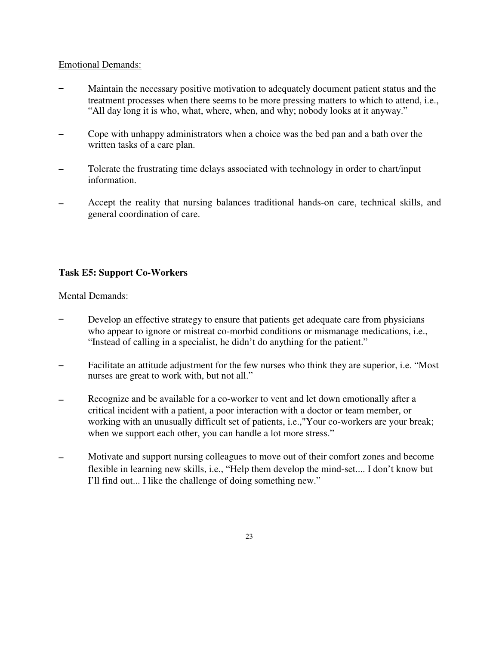#### Emotional Demands:

- $\overline{a}$ Maintain the necessary positive motivation to adequately document patient status and the treatment processes when there seems to be more pressing matters to which to attend, i.e., "All day long it is who, what, where, when, and why; nobody looks at it anyway."
- $\overline{a}$ Cope with unhappy administrators when a choice was the bed pan and a bath over the written tasks of a care plan.
- $\overline{a}$ Tolerate the frustrating time delays associated with technology in order to chart/input information.
- $\overline{a}$ Accept the reality that nursing balances traditional hands-on care, technical skills, and general coordination of care.

#### **Task E5: Support Co-Workers**

- $\overline{a}$ Develop an effective strategy to ensure that patients get adequate care from physicians who appear to ignore or mistreat co-morbid conditions or mismanage medications, i.e., "Instead of calling in a specialist, he didn't do anything for the patient."
- $\overline{a}$ Facilitate an attitude adjustment for the few nurses who think they are superior, i.e. "Most nurses are great to work with, but not all."
- $\overline{a}$ Recognize and be available for a co-worker to vent and let down emotionally after a critical incident with a patient, a poor interaction with a doctor or team member, or working with an unusually difficult set of patients, i.e.,"Your co-workers are your break; when we support each other, you can handle a lot more stress."
- $\overline{a}$ Motivate and support nursing colleagues to move out of their comfort zones and become flexible in learning new skills, i.e., "Help them develop the mind-set.... I don't know but I'll find out... I like the challenge of doing something new."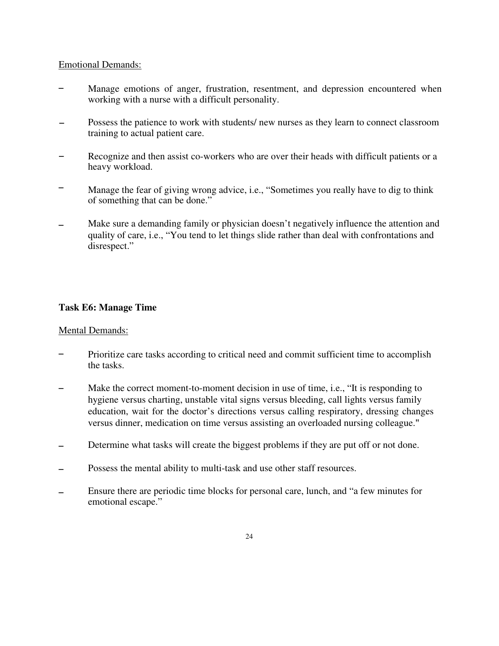#### Emotional Demands:

- $\overline{a}$ Manage emotions of anger, frustration, resentment, and depression encountered when working with a nurse with a difficult personality.
- $\overline{a}$ Possess the patience to work with students/ new nurses as they learn to connect classroom training to actual patient care.
- $\overline{a}$ Recognize and then assist co-workers who are over their heads with difficult patients or a heavy workload.
- $\overline{a}$ Manage the fear of giving wrong advice, i.e., "Sometimes you really have to dig to think of something that can be done."
- $\overline{a}$ Make sure a demanding family or physician doesn't negatively influence the attention and quality of care, i.e., "You tend to let things slide rather than deal with confrontations and disrespect."

#### **Task E6: Manage Time**

- $\overline{a}$ Prioritize care tasks according to critical need and commit sufficient time to accomplish the tasks.
- $\overline{a}$ Make the correct moment-to-moment decision in use of time, i.e., "It is responding to hygiene versus charting, unstable vital signs versus bleeding, call lights versus family education, wait for the doctor's directions versus calling respiratory, dressing changes versus dinner, medication on time versus assisting an overloaded nursing colleague."
- $\equiv$ Determine what tasks will create the biggest problems if they are put off or not done.
- $\overline{a}$ Possess the mental ability to multi-task and use other staff resources.
- $\overline{a}$ Ensure there are periodic time blocks for personal care, lunch, and "a few minutes for emotional escape."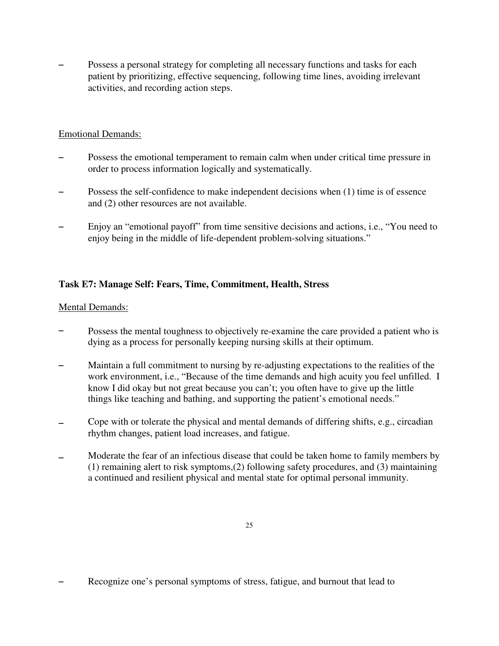Possess a personal strategy for completing all necessary functions and tasks for each patient by prioritizing, effective sequencing, following time lines, avoiding irrelevant activities, and recording action steps.

# Emotional Demands:

- Possess the emotional temperament to remain calm when under critical time pressure in order to process information logically and systematically.
- Possess the self-confidence to make independent decisions when (1) time is of essence and (2) other resources are not available.
- Enjoy an "emotional payoff" from time sensitive decisions and actions, i.e., "You need to enjoy being in the middle of life-dependent problem-solving situations."

# **Task E7: Manage Self: Fears, Time, Commitment, Health, Stress**

- $\overline{a}$ Possess the mental toughness to objectively re-examine the care provided a patient who is dying as a process for personally keeping nursing skills at their optimum.
- $\overline{a}$ Maintain a full commitment to nursing by re-adjusting expectations to the realities of the work environment, i.e., "Because of the time demands and high acuity you feel unfilled. I know I did okay but not great because you can't; you often have to give up the little things like teaching and bathing, and supporting the patient's emotional needs."
- $\overline{a}$ Cope with or tolerate the physical and mental demands of differing shifts, e.g., circadian rhythm changes, patient load increases, and fatigue.
- $\overline{a}$ Moderate the fear of an infectious disease that could be taken home to family members by (1) remaining alert to risk symptoms,(2) following safety procedures, and (3) maintaining a continued and resilient physical and mental state for optimal personal immunity.

Recognize one's personal symptoms of stress, fatigue, and burnout that lead to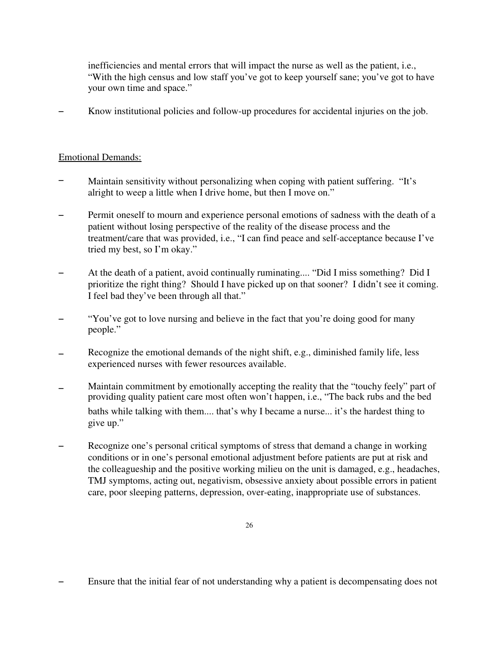inefficiencies and mental errors that will impact the nurse as well as the patient, i.e., "With the high census and low staff you've got to keep yourself sane; you've got to have your own time and space."

 $\overline{a}$ Know institutional policies and follow-up procedures for accidental injuries on the job.

- $\overline{a}$ Maintain sensitivity without personalizing when coping with patient suffering. "It's alright to weep a little when I drive home, but then I move on."
- $\overline{a}$ Permit oneself to mourn and experience personal emotions of sadness with the death of a patient without losing perspective of the reality of the disease process and the treatment/care that was provided, i.e., "I can find peace and self-acceptance because I've tried my best, so I'm okay."
- At the death of a patient, avoid continually ruminating.... "Did I miss something? Did I prioritize the right thing? Should I have picked up on that sooner? I didn't see it coming. I feel bad they've been through all that."
- $\overline{a}$ "You've got to love nursing and believe in the fact that you're doing good for many people."
- $\overline{a}$ Recognize the emotional demands of the night shift, e.g., diminished family life, less experienced nurses with fewer resources available.
- $\overline{a}$ Maintain commitment by emotionally accepting the reality that the "touchy feely" part of providing quality patient care most often won't happen, i.e., "The back rubs and the bed baths while talking with them.... that's why I became a nurse... it's the hardest thing to give up."
- $\equiv$ Recognize one's personal critical symptoms of stress that demand a change in working conditions or in one's personal emotional adjustment before patients are put at risk and the colleagueship and the positive working milieu on the unit is damaged, e.g., headaches, TMJ symptoms, acting out, negativism, obsessive anxiety about possible errors in patient care, poor sleeping patterns, depression, over-eating, inappropriate use of substances.

<sup>-</sup> Ensure that the initial fear of not understanding why a patient is decompensating does not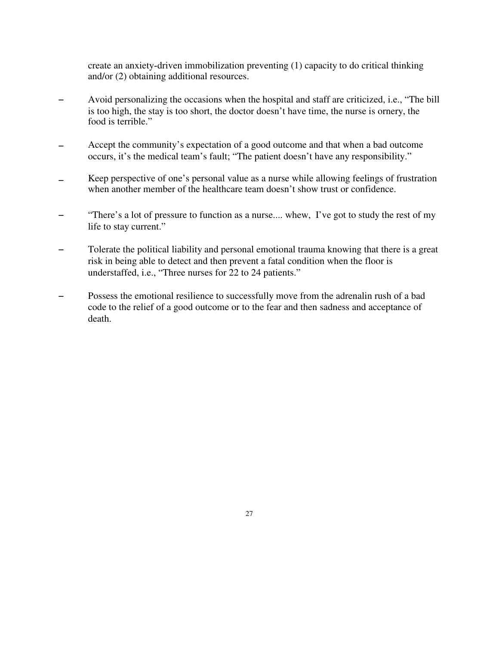create an anxiety-driven immobilization preventing (1) capacity to do critical thinking and/or (2) obtaining additional resources.

- $\overline{a}$ Avoid personalizing the occasions when the hospital and staff are criticized, i.e., "The bill is too high, the stay is too short, the doctor doesn't have time, the nurse is ornery, the food is terrible."
- $\overline{a}$ Accept the community's expectation of a good outcome and that when a bad outcome occurs, it's the medical team's fault; "The patient doesn't have any responsibility."
- $\overline{a}$ Keep perspective of one's personal value as a nurse while allowing feelings of frustration when another member of the healthcare team doesn't show trust or confidence.
- "There's a lot of pressure to function as a nurse.... whew, I've got to study the rest of my life to stay current."
- Tolerate the political liability and personal emotional trauma knowing that there is a great risk in being able to detect and then prevent a fatal condition when the floor is understaffed, i.e., "Three nurses for 22 to 24 patients."
- Possess the emotional resilience to successfully move from the adrenalin rush of a bad code to the relief of a good outcome or to the fear and then sadness and acceptance of death.

27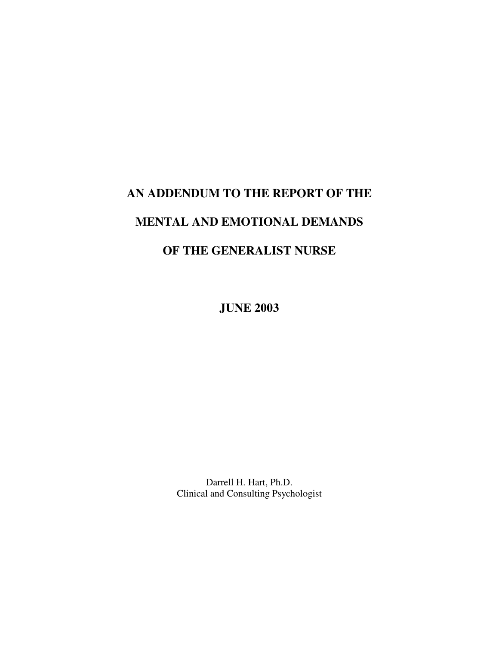# **AN ADDENDUM TO THE REPORT OF THE**

# **MENTAL AND EMOTIONAL DEMANDS**

# **OF THE GENERALIST NURSE**

**JUNE 2003**

Darrell H. Hart, Ph.D. Clinical and Consulting Psychologist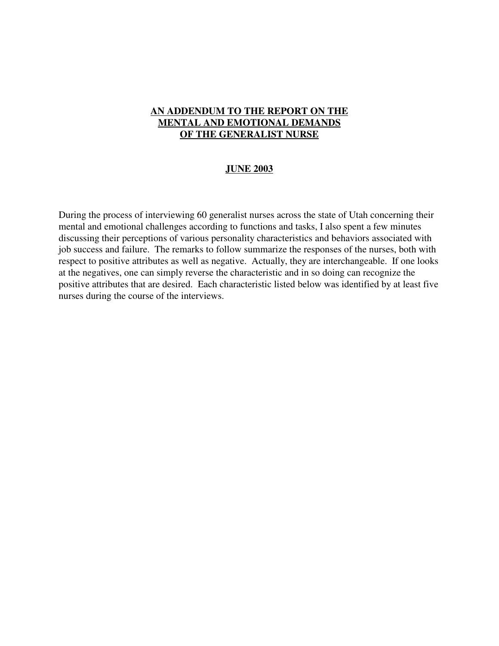## **AN ADDENDUM TO THE REPORT ON THE MENTAL AND EMOTIONAL DEMANDS OF THE GENERALIST NURSE**

#### **JUNE 2003**

During the process of interviewing 60 generalist nurses across the state of Utah concerning their mental and emotional challenges according to functions and tasks, I also spent a few minutes discussing their perceptions of various personality characteristics and behaviors associated with job success and failure. The remarks to follow summarize the responses of the nurses, both with respect to positive attributes as well as negative. Actually, they are interchangeable. If one looks at the negatives, one can simply reverse the characteristic and in so doing can recognize the positive attributes that are desired. Each characteristic listed below was identified by at least five nurses during the course of the interviews.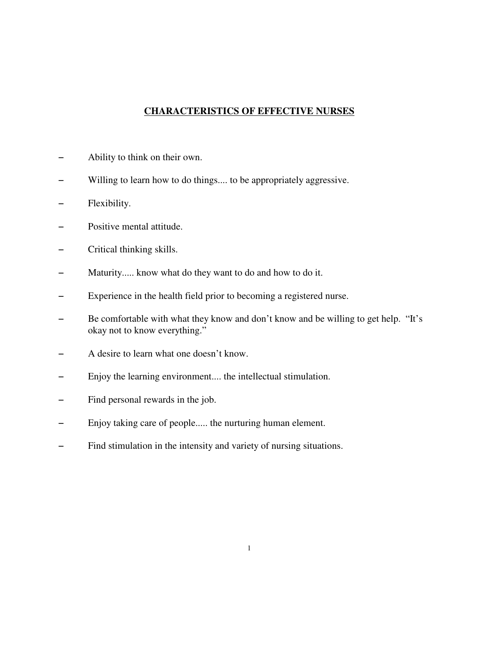# **CHARACTERISTICS OF EFFECTIVE NURSES**

- Ability to think on their own.
- Willing to learn how to do things.... to be appropriately aggressive.
- Flexibility.
- Positive mental attitude.
- Critical thinking skills.
- Maturity..... know what do they want to do and how to do it.
- Experience in the health field prior to becoming a registered nurse.
- Be comfortable with what they know and don't know and be willing to get help. "It's okay not to know everything."
- A desire to learn what one doesn't know.
- Enjoy the learning environment.... the intellectual stimulation.
- Find personal rewards in the job.
- Enjoy taking care of people..... the nurturing human element.
- Find stimulation in the intensity and variety of nursing situations.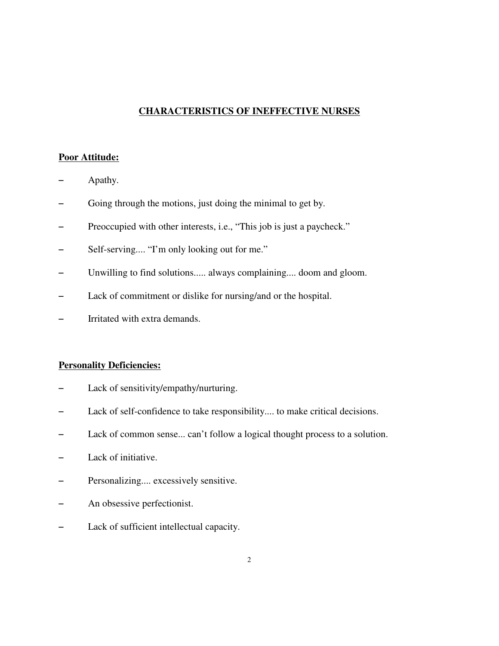#### **CHARACTERISTICS OF INEFFECTIVE NURSES**

#### **Poor Attitude:**

- Apathy.
- Going through the motions, just doing the minimal to get by.
- Preoccupied with other interests, i.e., "This job is just a paycheck."
- Self-serving.... "I'm only looking out for me."
- Unwilling to find solutions..... always complaining.... doom and gloom.
- Lack of commitment or dislike for nursing/and or the hospital.
- Irritated with extra demands.

#### **Personality Deficiencies:**

- Lack of sensitivity/empathy/nurturing.
- Lack of self-confidence to take responsibility.... to make critical decisions.
- Lack of common sense... can't follow a logical thought process to a solution.
- Lack of initiative.
- Personalizing.... excessively sensitive.
- An obsessive perfectionist.
- Lack of sufficient intellectual capacity.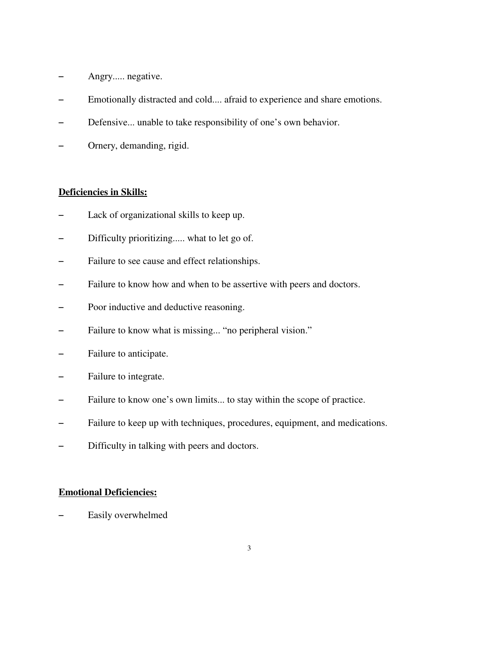- Angry..... negative.
- Emotionally distracted and cold.... afraid to experience and share emotions.
- Defensive... unable to take responsibility of one's own behavior.
- Ornery, demanding, rigid.

#### **Deficiencies in Skills:**

- Lack of organizational skills to keep up.
- Difficulty prioritizing..... what to let go of.
- Failure to see cause and effect relationships.
- Failure to know how and when to be assertive with peers and doctors.
- Poor inductive and deductive reasoning.
- Failure to know what is missing... "no peripheral vision."
- Failure to anticipate.
- Failure to integrate.
- Failure to know one's own limits... to stay within the scope of practice.
- Failure to keep up with techniques, procedures, equipment, and medications.
- Difficulty in talking with peers and doctors.

#### **Emotional Deficiencies:**

Easily overwhelmed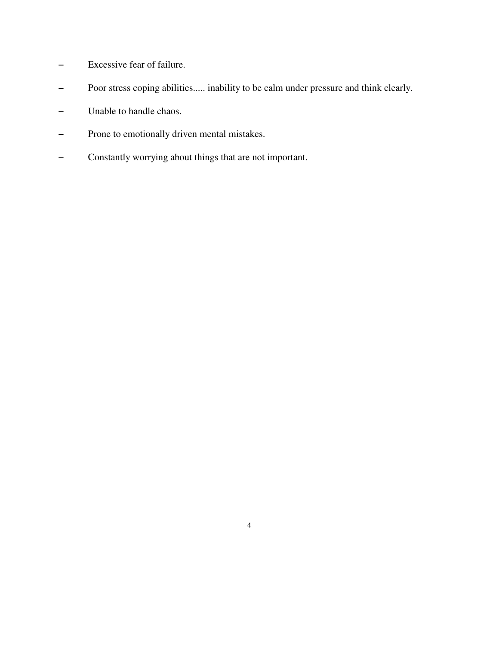- Excessive fear of failure.
- Poor stress coping abilities..... inability to be calm under pressure and think clearly.
- Unable to handle chaos.
- Prone to emotionally driven mental mistakes.
- Constantly worrying about things that are not important.